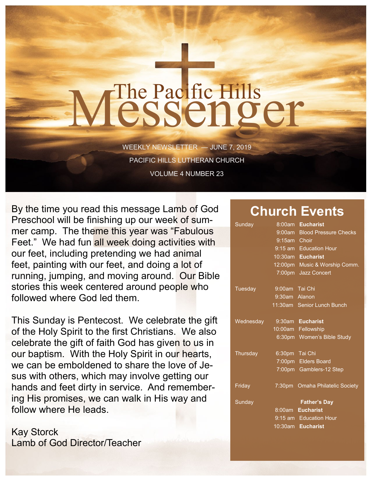# The Pacific Hills<br>CSSCNOCT

WEEKLY NEWSLETTER — JUNE 7, 2019 PACIFIC HILLS LUTHERAN CHURCH VOLUME 4 NUMBER 23

By the time you read this message Lamb of God Preschool will be finishing up our week of summer camp. The theme this year was "Fabulous Feet." We had fun all week doing activities with our feet, including pretending we had animal feet, painting with our feet, and doing a lot of running, jumping, and moving around. Our Bible stories this week centered around people who followed where God led them.

This Sunday is Pentecost. We celebrate the gift of the Holy Spirit to the first Christians. We also celebrate the gift of faith God has given to us in our baptism. With the Holy Spirit in our hearts, we can be emboldened to share the love of Jesus with others, which may involve getting our hands and feet dirty in service. And remembering His promises, we can walk in His way and follow where He leads.

Kay Storck Lamb of God Director/Teacher

### **Church Events**

| Sunday    | 8:00am         | <b>Eucharist</b>                |
|-----------|----------------|---------------------------------|
|           | 9:00am         | <b>Blood Pressure Checks</b>    |
|           | 9:15am Choir   |                                 |
|           |                | 9:15 am Education Hour          |
|           |                | 10:30am Eucharist               |
|           |                | 12:00pm Music & Worship Comm.   |
|           | $7:00$ pm      | <b>Jazz Concert</b>             |
| Tuesday   | 9:00am Tai Chi |                                 |
|           | 9:30am Alanon  |                                 |
|           |                | 11:30am Senior Lunch Bunch      |
| Wednesday |                | 9:30am Eucharist                |
|           |                | 10:00am Fellowship              |
|           |                | 6:30pm Women's Bible Study      |
| Thursday  | 6:30pm Tai Chi |                                 |
|           |                | 7:00pm Elders Board             |
|           |                | 7:00pm Gamblers-12 Step         |
| Friday    |                | 7:30pm Omaha Philatelic Society |
| Sunday    |                | <b>Father's Day</b>             |
|           |                | 8:00am Eucharist                |
|           |                | 9:15 am Education Hour          |
|           |                | 10:30am Eucharist               |
|           |                |                                 |